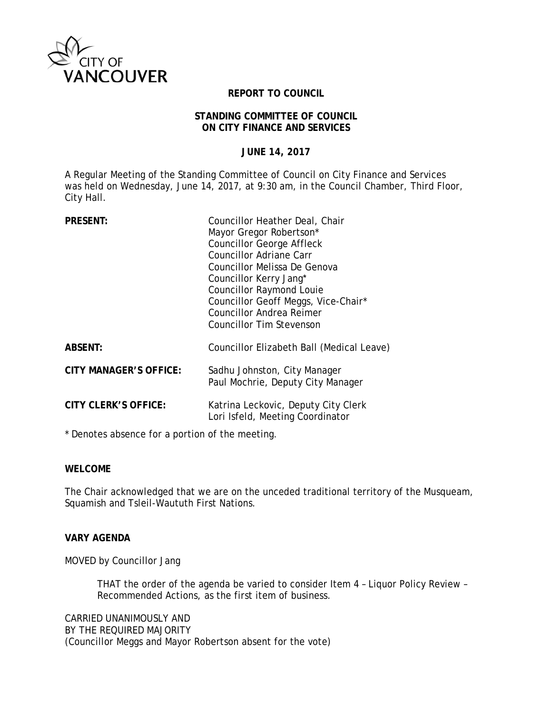

### **REPORT TO COUNCIL**

#### **STANDING COMMITTEE OF COUNCIL ON CITY FINANCE AND SERVICES**

**JUNE 14, 2017**

A Regular Meeting of the Standing Committee of Council on City Finance and Services was held on Wednesday, June 14, 2017, at 9:30 am, in the Council Chamber, Third Floor, City Hall.

| <b>PRESENT:</b>             | Councillor Heather Deal, Chair<br>Mayor Gregor Robertson*<br><b>Councillor George Affleck</b><br>Councillor Adriane Carr<br>Councillor Melissa De Genova<br>Councillor Kerry Jang*<br><b>Councillor Raymond Louie</b><br>Councillor Geoff Meggs, Vice-Chair*<br><b>Councillor Andrea Reimer</b><br><b>Councillor Tim Stevenson</b> |
|-----------------------------|------------------------------------------------------------------------------------------------------------------------------------------------------------------------------------------------------------------------------------------------------------------------------------------------------------------------------------|
| <b>ABSENT:</b>              | Councillor Elizabeth Ball (Medical Leave)                                                                                                                                                                                                                                                                                          |
| CITY MANAGER'S OFFICE:      | Sadhu Johnston, City Manager<br>Paul Mochrie, Deputy City Manager                                                                                                                                                                                                                                                                  |
| <b>CITY CLERK'S OFFICE:</b> | Katrina Leckovic, Deputy City Clerk<br>Lori Isfeld, Meeting Coordinator                                                                                                                                                                                                                                                            |

\* Denotes absence for a portion of the meeting.

#### **WELCOME**

The Chair acknowledged that we are on the unceded traditional territory of the Musqueam, Squamish and Tsleil-Waututh First Nations.

# **VARY AGENDA**

MOVED by Councillor Jang

THAT the order of the agenda be varied to consider Item 4 – Liquor Policy Review – Recommended Actions, as the first item of business.

CARRIED UNANIMOUSLY AND BY THE REQUIRED MAJORITY (Councillor Meggs and Mayor Robertson absent for the vote)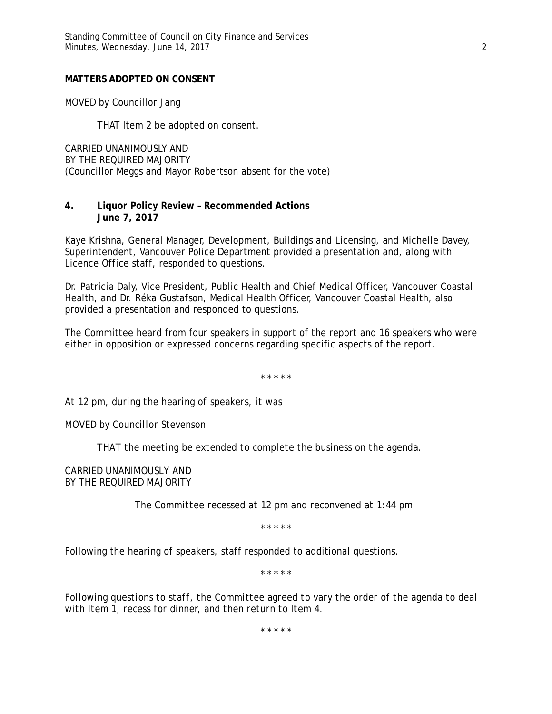#### **MATTERS ADOPTED ON CONSENT**

MOVED by Councillor Jang

THAT Item 2 be adopted on consent.

CARRIED UNANIMOUSLY AND BY THE REQUIRED MAJORITY (Councillor Meggs and Mayor Robertson absent for the vote)

# **4. Liquor Policy Review – Recommended Actions June 7, 2017**

Kaye Krishna, General Manager, Development, Buildings and Licensing, and Michelle Davey, Superintendent, Vancouver Police Department provided a presentation and, along with Licence Office staff, responded to questions.

Dr. Patricia Daly, Vice President, Public Health and Chief Medical Officer, Vancouver Coastal Health, and Dr. Réka Gustafson, Medical Health Officer, Vancouver Coastal Health, also provided a presentation and responded to questions.

The Committee heard from four speakers in support of the report and 16 speakers who were either in opposition or expressed concerns regarding specific aspects of the report.

\* \* \* \* \*

*At 12 pm, during the hearing of speakers, it was*

*MOVED by Councillor Stevenson*

*THAT the meeting be extended to complete the business on the agenda.* 

*CARRIED UNANIMOUSLY AND BY THE REQUIRED MAJORITY*

*The Committee recessed at 12 pm and reconvened at 1:44 pm.*

\* \* \* \* \*

Following the hearing of speakers, staff responded to additional questions.

\* \* \* \* \*

*Following questions to staff, the Committee agreed to vary the order of the agenda to deal with Item 1, recess for dinner, and then return to Item 4.* 

\* \* \* \* \*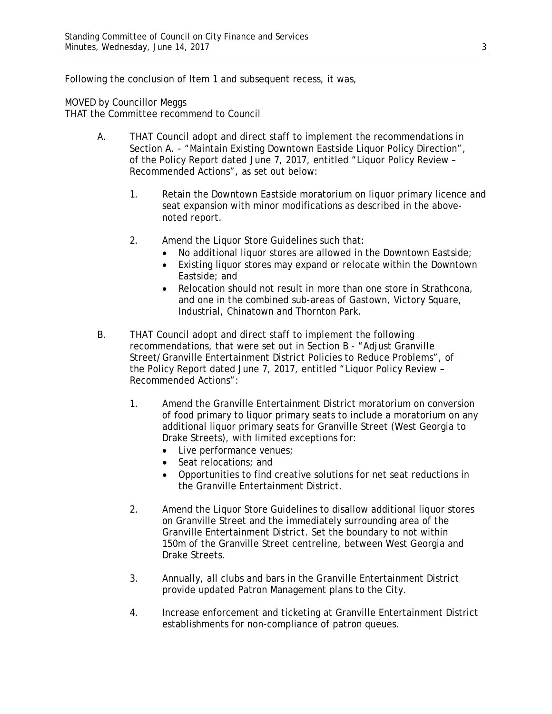Following the conclusion of Item 1 and subsequent recess, it was,

MOVED by Councillor Meggs

THAT the Committee recommend to Council

- A. THAT Council adopt and direct staff to implement the recommendations in Section A. - "Maintain Existing Downtown Eastside Liquor Policy Direction", of the Policy Report dated June 7, 2017, entitled "Liquor Policy Review – Recommended Actions", as set out below:
	- 1. Retain the Downtown Eastside moratorium on liquor primary licence and seat expansion with minor modifications as described in the abovenoted report.
	- 2. Amend the Liquor Store Guidelines such that:
		- No additional liquor stores are allowed in the Downtown Eastside;
		- Existing liquor stores may expand or relocate within the Downtown Eastside; and
		- Relocation should not result in more than one store in Strathcona, and one in the combined sub-areas of Gastown, Victory Square, Industrial, Chinatown and Thornton Park.
- B. THAT Council adopt and direct staff to implement the following recommendations, that were set out in Section B - "Adjust Granville Street/Granville Entertainment District Policies to Reduce Problems", of the Policy Report dated June 7, 2017, entitled "Liquor Policy Review – Recommended Actions":
	- 1. Amend the Granville Entertainment District moratorium on conversion of food primary to liquor primary seats to include a moratorium on any additional liquor primary seats for Granville Street (West Georgia to Drake Streets), with limited exceptions for:
		- Live performance venues;
		- Seat relocations: and
		- Opportunities to find creative solutions for net seat reductions in the Granville Entertainment District.
	- 2. Amend the Liquor Store Guidelines to disallow additional liquor stores on Granville Street and the immediately surrounding area of the Granville Entertainment District. Set the boundary to not within 150m of the Granville Street centreline, between West Georgia and Drake Streets.
	- 3. Annually, all clubs and bars in the Granville Entertainment District provide updated Patron Management plans to the City.
	- 4. Increase enforcement and ticketing at Granville Entertainment District establishments for non-compliance of patron queues.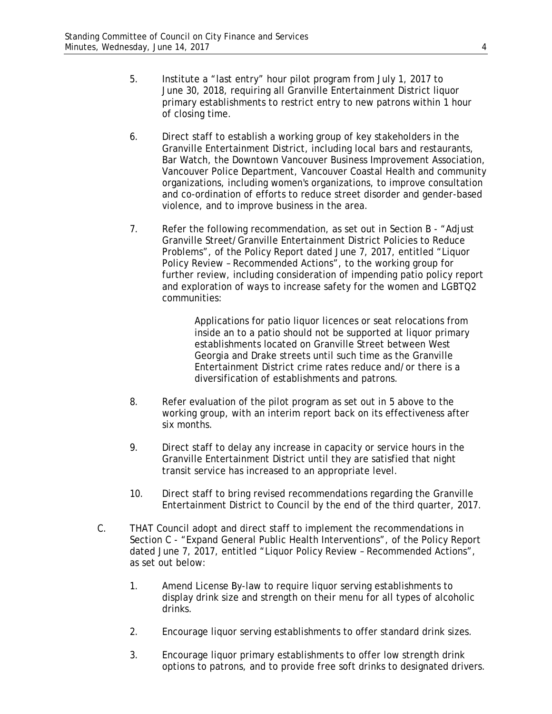- 5. Institute a "last entry" hour pilot program from July 1, 2017 to June 30, 2018, requiring all Granville Entertainment District liquor primary establishments to restrict entry to new patrons within 1 hour of closing time.
- 6. Direct staff to establish a working group of key stakeholders in the Granville Entertainment District, including local bars and restaurants, Bar Watch, the Downtown Vancouver Business Improvement Association, Vancouver Police Department, Vancouver Coastal Health and community organizations, including women's organizations, to improve consultation and co-ordination of efforts to reduce street disorder and gender-based violence, and to improve business in the area.
- 7. Refer the following recommendation, as set out in Section B "Adjust Granville Street/Granville Entertainment District Policies to Reduce Problems", of the Policy Report dated June 7, 2017, entitled "Liquor Policy Review – Recommended Actions", to the working group for further review, including consideration of impending patio policy report and exploration of ways to increase safety for the women and LGBTQ2 communities:

Applications for patio liquor licences or seat relocations from inside an to a patio should not be supported at liquor primary establishments located on Granville Street between West Georgia and Drake streets until such time as the Granville Entertainment District crime rates reduce and/or there is a diversification of establishments and patrons.

- 8. Refer evaluation of the pilot program as set out in 5 above to the working group, with an interim report back on its effectiveness after six months.
- 9. Direct staff to delay any increase in capacity or service hours in the Granville Entertainment District until they are satisfied that night transit service has increased to an appropriate level.
- 10. Direct staff to bring revised recommendations regarding the Granville Entertainment District to Council by the end of the third quarter, 2017.
- C. THAT Council adopt and direct staff to implement the recommendations in Section C - "Expand General Public Health Interventions", of the Policy Report dated June 7, 2017, entitled "Liquor Policy Review – Recommended Actions", as set out below:
	- 1. Amend License By-law to require liquor serving establishments to display drink size and strength on their menu for all types of alcoholic drinks.
	- 2. Encourage liquor serving establishments to offer standard drink sizes.
	- 3. Encourage liquor primary establishments to offer low strength drink options to patrons, and to provide free soft drinks to designated drivers.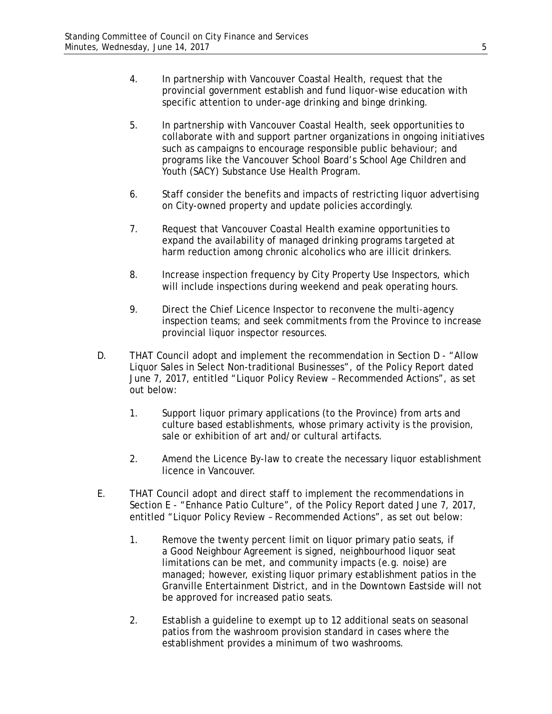- 4. In partnership with Vancouver Coastal Health, request that the provincial government establish and fund liquor-wise education with specific attention to under-age drinking and binge drinking.
- 5. In partnership with Vancouver Coastal Health, seek opportunities to collaborate with and support partner organizations in ongoing initiatives such as campaigns to encourage responsible public behaviour; and programs like the Vancouver School Board's School Age Children and Youth (SACY) Substance Use Health Program.
- 6. Staff consider the benefits and impacts of restricting liquor advertising on City-owned property and update policies accordingly.
- 7. Request that Vancouver Coastal Health examine opportunities to expand the availability of managed drinking programs targeted at harm reduction among chronic alcoholics who are illicit drinkers.
- 8. Increase inspection frequency by City Property Use Inspectors, which will include inspections during weekend and peak operating hours.
- 9. Direct the Chief Licence Inspector to reconvene the multi-agency inspection teams; and seek commitments from the Province to increase provincial liquor inspector resources.
- D. THAT Council adopt and implement the recommendation in Section D "Allow Liquor Sales in Select Non-traditional Businesses", of the Policy Report dated June 7, 2017, entitled "Liquor Policy Review – Recommended Actions", as set out below:
	- 1. Support liquor primary applications (to the Province) from arts and culture based establishments, whose primary activity is the provision, sale or exhibition of art and/or cultural artifacts.
	- 2. Amend the Licence By-law to create the necessary liquor establishment licence in Vancouver.
- E. THAT Council adopt and direct staff to implement the recommendations in Section E - "Enhance Patio Culture", of the Policy Report dated June 7, 2017, entitled "Liquor Policy Review – Recommended Actions", as set out below:
	- 1. Remove the twenty percent limit on liquor primary patio seats, if a Good Neighbour Agreement is signed, neighbourhood liquor seat limitations can be met, and community impacts (e.g. noise) are managed; however, existing liquor primary establishment patios in the Granville Entertainment District, and in the Downtown Eastside will not be approved for increased patio seats.
	- 2. Establish a guideline to exempt up to 12 additional seats on seasonal patios from the washroom provision standard in cases where the establishment provides a minimum of two washrooms.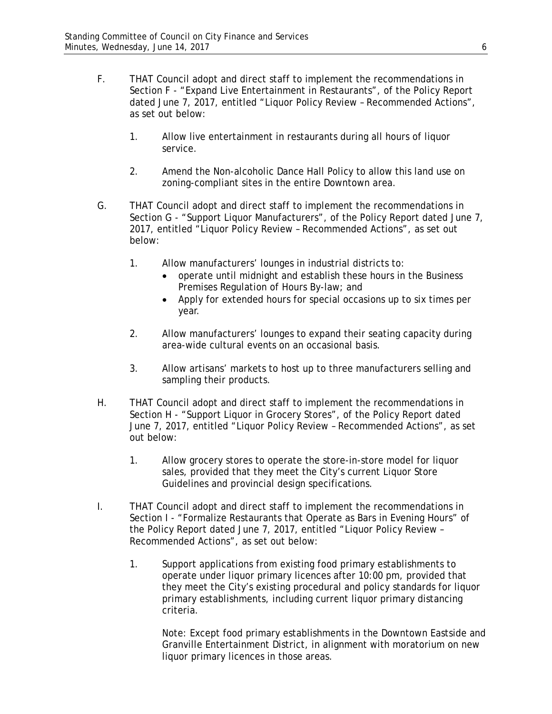- F. THAT Council adopt and direct staff to implement the recommendations in Section F - "Expand Live Entertainment in Restaurants", of the Policy Report dated June 7, 2017, entitled "Liquor Policy Review – Recommended Actions", as set out below:
	- 1. Allow live entertainment in restaurants during all hours of liquor service.
	- 2. Amend the Non-alcoholic Dance Hall Policy to allow this land use on zoning-compliant sites in the entire Downtown area.
- G. THAT Council adopt and direct staff to implement the recommendations in Section G - "Support Liquor Manufacturers", of the Policy Report dated June 7, 2017, entitled "Liquor Policy Review – Recommended Actions", as set out below:
	- 1. Allow manufacturers' lounges in industrial districts to:
		- operate until midnight and establish these hours in the Business Premises Regulation of Hours By-law; and
		- Apply for extended hours for special occasions up to six times per year.
	- 2. Allow manufacturers' lounges to expand their seating capacity during area-wide cultural events on an occasional basis.
	- 3. Allow artisans' markets to host up to three manufacturers selling and sampling their products.
- H. THAT Council adopt and direct staff to implement the recommendations in Section H - "Support Liquor in Grocery Stores", of the Policy Report dated June 7, 2017, entitled "Liquor Policy Review – Recommended Actions", as set out below:
	- 1. Allow grocery stores to operate the store-in-store model for liquor sales, provided that they meet the City's current Liquor Store Guidelines and provincial design specifications.
- I. THAT Council adopt and direct staff to implement the recommendations in Section I - "Formalize Restaurants that Operate as Bars in Evening Hours" of the Policy Report dated June 7, 2017, entitled "Liquor Policy Review – Recommended Actions", as set out below:
	- 1. Support applications from existing food primary establishments to operate under liquor primary licences after 10:00 pm, provided that they meet the City's existing procedural and policy standards for liquor primary establishments, including current liquor primary distancing criteria.

Note: Except food primary establishments in the Downtown Eastside and Granville Entertainment District, in alignment with moratorium on new liquor primary licences in those areas.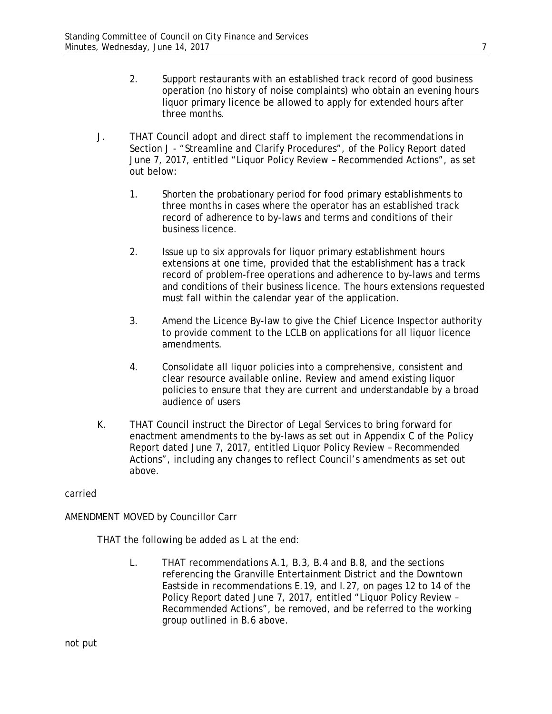- 2. Support restaurants with an established track record of good business operation (no history of noise complaints) who obtain an evening hours liquor primary licence be allowed to apply for extended hours after three months.
- J. THAT Council adopt and direct staff to implement the recommendations in Section J - "Streamline and Clarify Procedures", of the Policy Report dated June 7, 2017, entitled "Liquor Policy Review – Recommended Actions", as set out below:
	- 1. Shorten the probationary period for food primary establishments to three months in cases where the operator has an established track record of adherence to by-laws and terms and conditions of their business licence.
	- 2. Issue up to six approvals for liquor primary establishment hours extensions at one time, provided that the establishment has a track record of problem-free operations and adherence to by-laws and terms and conditions of their business licence. The hours extensions requested must fall within the calendar year of the application.
	- 3. Amend the Licence By-law to give the Chief Licence Inspector authority to provide comment to the LCLB on applications for all liquor licence amendments.
	- 4. Consolidate all liquor policies into a comprehensive, consistent and clear resource available online. Review and amend existing liquor policies to ensure that they are current and understandable by a broad audience of users
- K. THAT Council instruct the Director of Legal Services to bring forward for enactment amendments to the by-laws as set out in Appendix C of the Policy Report dated June 7, 2017, entitled Liquor Policy Review – Recommended Actions", including any changes to reflect Council's amendments as set out above.

carried

AMENDMENT MOVED by Councillor Carr

THAT the following be added as L at the end:

L. THAT recommendations A.1, B.3, B.4 and B.8, and the sections referencing the Granville Entertainment District and the Downtown Eastside in recommendations E.19, and I.27, on pages 12 to 14 of the Policy Report dated June 7, 2017, entitled "Liquor Policy Review – Recommended Actions", be removed, and be referred to the working group outlined in B.6 above.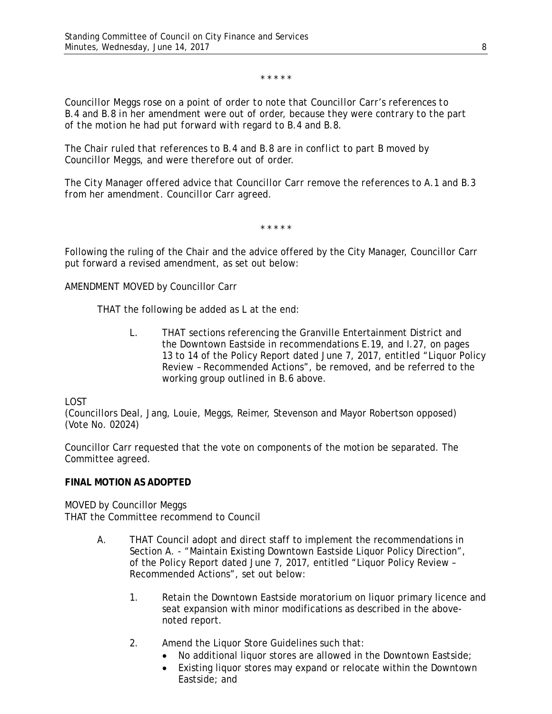\* \* \* \* \*

*Councillor Meggs rose on a point of order to note that Councillor Carr's references to B.4 and B.8 in her amendment were out of order, because they were contrary to the part of the motion he had put forward with regard to B.4 and B.8.*

*The Chair ruled that references to B.4 and B.8 are in conflict to part B moved by Councillor Meggs, and were therefore out of order.*

*The City Manager offered advice that Councillor Carr remove the references to A.1 and B.3 from her amendment. Councillor Carr agreed.*

\* \* \* \* \*

Following the ruling of the Chair and the advice offered by the City Manager, Councillor Carr put forward a revised amendment, as set out below:

AMENDMENT MOVED by Councillor Carr

THAT the following be added as L at the end:

L. THAT sections referencing the Granville Entertainment District and the Downtown Eastside in recommendations E.19, and I.27, on pages 13 to 14 of the Policy Report dated June 7, 2017, entitled "Liquor Policy Review – Recommended Actions", be removed, and be referred to the working group outlined in B.6 above.

LOST

(Councillors Deal, Jang, Louie, Meggs, Reimer, Stevenson and Mayor Robertson opposed) (Vote No. 02024)

Councillor Carr requested that the vote on components of the motion be separated. The Committee agreed.

#### **FINAL MOTION AS ADOPTED**

# MOVED by Councillor Meggs

THAT the Committee recommend to Council

- A. THAT Council adopt and direct staff to implement the recommendations in Section A. - "Maintain Existing Downtown Eastside Liquor Policy Direction", of the Policy Report dated June 7, 2017, entitled "Liquor Policy Review – Recommended Actions", set out below:
	- 1. Retain the Downtown Eastside moratorium on liquor primary licence and seat expansion with minor modifications as described in the abovenoted report.
	- 2. Amend the Liquor Store Guidelines such that:
		- No additional liquor stores are allowed in the Downtown Eastside;
		- Existing liquor stores may expand or relocate within the Downtown Eastside; and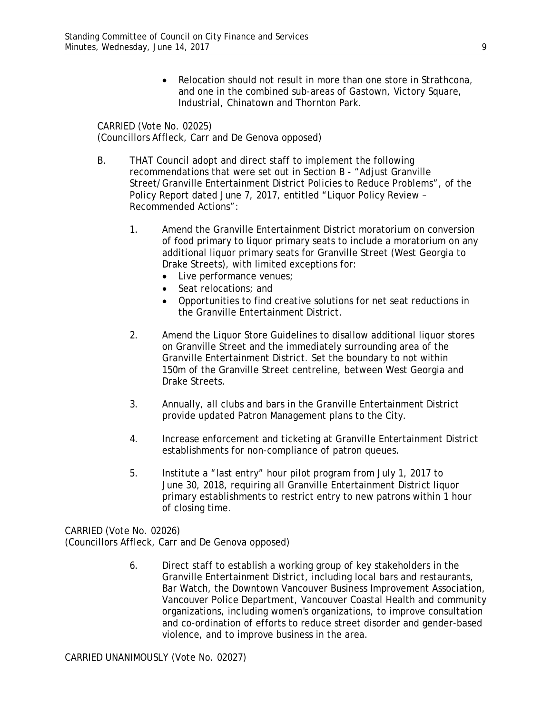• Relocation should not result in more than one store in Strathcona, and one in the combined sub-areas of Gastown, Victory Square, Industrial, Chinatown and Thornton Park.

CARRIED (Vote No. 02025) (Councillors Affleck, Carr and De Genova opposed)

- B. THAT Council adopt and direct staff to implement the following recommendations that were set out in Section B - "Adjust Granville Street/Granville Entertainment District Policies to Reduce Problems", of the Policy Report dated June 7, 2017, entitled "Liquor Policy Review – Recommended Actions":
	- 1. Amend the Granville Entertainment District moratorium on conversion of food primary to liquor primary seats to include a moratorium on any additional liquor primary seats for Granville Street (West Georgia to Drake Streets), with limited exceptions for:
		- Live performance venues;
		- Seat relocations: and
		- Opportunities to find creative solutions for net seat reductions in the Granville Entertainment District.
	- 2. Amend the Liquor Store Guidelines to disallow additional liquor stores on Granville Street and the immediately surrounding area of the Granville Entertainment District. Set the boundary to not within 150m of the Granville Street centreline, between West Georgia and Drake Streets.
	- 3. Annually, all clubs and bars in the Granville Entertainment District provide updated Patron Management plans to the City.
	- 4. Increase enforcement and ticketing at Granville Entertainment District establishments for non-compliance of patron queues.
	- 5. Institute a "last entry" hour pilot program from July 1, 2017 to June 30, 2018, requiring all Granville Entertainment District liquor primary establishments to restrict entry to new patrons within 1 hour of closing time.

CARRIED (Vote No. 02026) (Councillors Affleck, Carr and De Genova opposed)

> 6. Direct staff to establish a working group of key stakeholders in the Granville Entertainment District, including local bars and restaurants, Bar Watch, the Downtown Vancouver Business Improvement Association, Vancouver Police Department, Vancouver Coastal Health and community organizations, including women's organizations, to improve consultation and co-ordination of efforts to reduce street disorder and gender-based violence, and to improve business in the area.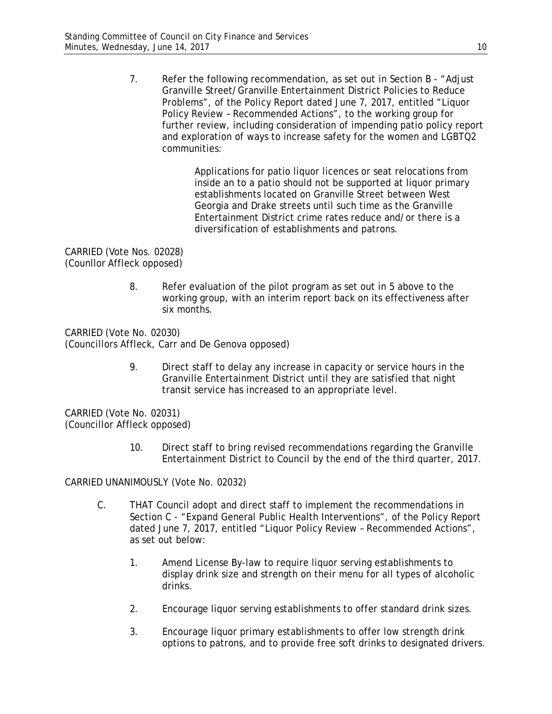7. Refer the following recommendation, as set out in Section B - "Adjust Granville Street/Granville Entertainment District Policies to Reduce Problems", of the Policy Report dated June 7, 2017, entitled "Liquor Policy Review – Recommended Actions", to the working group for further review, including consideration of impending patio policy report and exploration of ways to increase safety for the women and LGBTQ2 communities:

> Applications for patio liquor licences or seat relocations from inside an to a patio should not be supported at liquor primary establishments located on Granville Street between West Georgia and Drake streets until such time as the Granville Entertainment District crime rates reduce and/or there is a diversification of establishments and patrons.

CARRIED (Vote Nos. 02028) (Counllor Affleck opposed)

> 8. Refer evaluation of the pilot program as set out in 5 above to the working group, with an interim report back on its effectiveness after six months.

CARRIED (Vote No. 02030) (Councillors Affleck, Carr and De Genova opposed)

> 9. Direct staff to delay any increase in capacity or service hours in the Granville Entertainment District until they are satisfied that night transit service has increased to an appropriate level.

CARRIED (Vote No. 02031) (Councillor Affleck opposed)

> 10. Direct staff to bring revised recommendations regarding the Granville Entertainment District to Council by the end of the third quarter, 2017.

CARRIED UNANIMOUSLY (Vote No. 02032)

- C. THAT Council adopt and direct staff to implement the recommendations in Section C - "Expand General Public Health Interventions", of the Policy Report dated June 7, 2017, entitled "Liquor Policy Review – Recommended Actions", as set out below:
	- 1. Amend License By-law to require liquor serving establishments to display drink size and strength on their menu for all types of alcoholic drinks.
	- 2. Encourage liquor serving establishments to offer standard drink sizes.
	- 3. Encourage liquor primary establishments to offer low strength drink options to patrons, and to provide free soft drinks to designated drivers.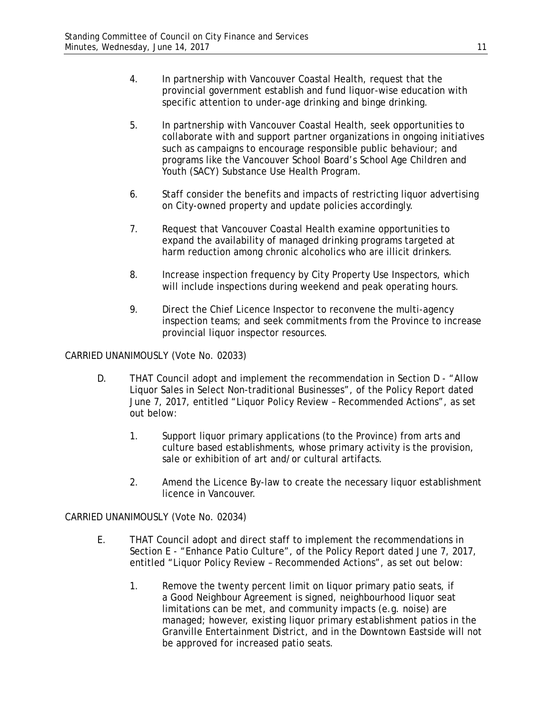- 4. In partnership with Vancouver Coastal Health, request that the provincial government establish and fund liquor-wise education with specific attention to under-age drinking and binge drinking.
- 5. In partnership with Vancouver Coastal Health, seek opportunities to collaborate with and support partner organizations in ongoing initiatives such as campaigns to encourage responsible public behaviour; and programs like the Vancouver School Board's School Age Children and Youth (SACY) Substance Use Health Program.
- 6. Staff consider the benefits and impacts of restricting liquor advertising on City-owned property and update policies accordingly.
- 7. Request that Vancouver Coastal Health examine opportunities to expand the availability of managed drinking programs targeted at harm reduction among chronic alcoholics who are illicit drinkers.
- 8. Increase inspection frequency by City Property Use Inspectors, which will include inspections during weekend and peak operating hours.
- 9. Direct the Chief Licence Inspector to reconvene the multi-agency inspection teams; and seek commitments from the Province to increase provincial liquor inspector resources.

CARRIED UNANIMOUSLY (Vote No. 02033)

- D. THAT Council adopt and implement the recommendation in Section D "Allow Liquor Sales in Select Non-traditional Businesses", of the Policy Report dated June 7, 2017, entitled "Liquor Policy Review – Recommended Actions", as set out below:
	- 1. Support liquor primary applications (to the Province) from arts and culture based establishments, whose primary activity is the provision, sale or exhibition of art and/or cultural artifacts.
	- 2. Amend the Licence By-law to create the necessary liquor establishment licence in Vancouver.

CARRIED UNANIMOUSLY (Vote No. 02034)

- E. THAT Council adopt and direct staff to implement the recommendations in Section E - "Enhance Patio Culture", of the Policy Report dated June 7, 2017, entitled "Liquor Policy Review – Recommended Actions", as set out below:
	- 1. Remove the twenty percent limit on liquor primary patio seats, if a Good Neighbour Agreement is signed, neighbourhood liquor seat limitations can be met, and community impacts (e.g. noise) are managed; however, existing liquor primary establishment patios in the Granville Entertainment District, and in the Downtown Eastside will not be approved for increased patio seats.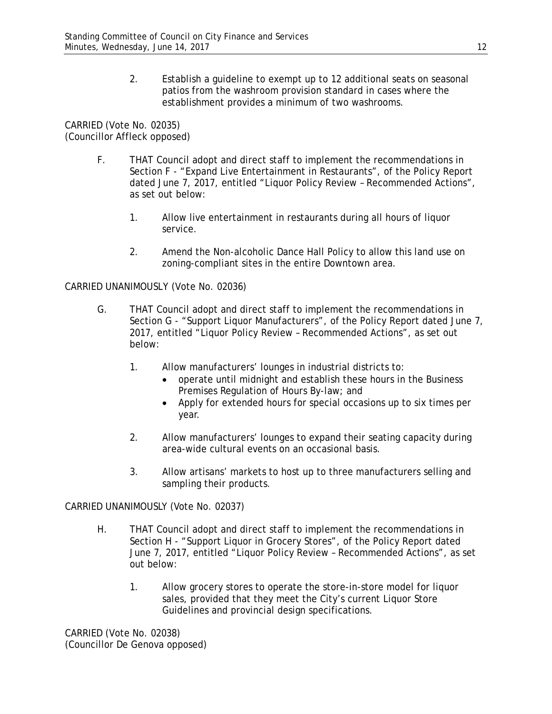2. Establish a guideline to exempt up to 12 additional seats on seasonal patios from the washroom provision standard in cases where the establishment provides a minimum of two washrooms.

CARRIED (Vote No. 02035) (Councillor Affleck opposed)

- F. THAT Council adopt and direct staff to implement the recommendations in Section F - "Expand Live Entertainment in Restaurants", of the Policy Report dated June 7, 2017, entitled "Liquor Policy Review – Recommended Actions", as set out below:
	- 1. Allow live entertainment in restaurants during all hours of liquor service.
	- 2. Amend the Non-alcoholic Dance Hall Policy to allow this land use on zoning-compliant sites in the entire Downtown area.

### CARRIED UNANIMOUSLY (Vote No. 02036)

- G. THAT Council adopt and direct staff to implement the recommendations in Section G - "Support Liquor Manufacturers", of the Policy Report dated June 7, 2017, entitled "Liquor Policy Review – Recommended Actions", as set out below:
	- 1. Allow manufacturers' lounges in industrial districts to:
		- operate until midnight and establish these hours in the Business Premises Regulation of Hours By-law; and
		- Apply for extended hours for special occasions up to six times per year.
	- 2. Allow manufacturers' lounges to expand their seating capacity during area-wide cultural events on an occasional basis.
	- 3. Allow artisans' markets to host up to three manufacturers selling and sampling their products.

CARRIED UNANIMOUSLY (Vote No. 02037)

- H. THAT Council adopt and direct staff to implement the recommendations in Section H - "Support Liquor in Grocery Stores", of the Policy Report dated June 7, 2017, entitled "Liquor Policy Review – Recommended Actions", as set out below:
	- 1. Allow grocery stores to operate the store-in-store model for liquor sales, provided that they meet the City's current Liquor Store Guidelines and provincial design specifications.

CARRIED (Vote No. 02038) (Councillor De Genova opposed)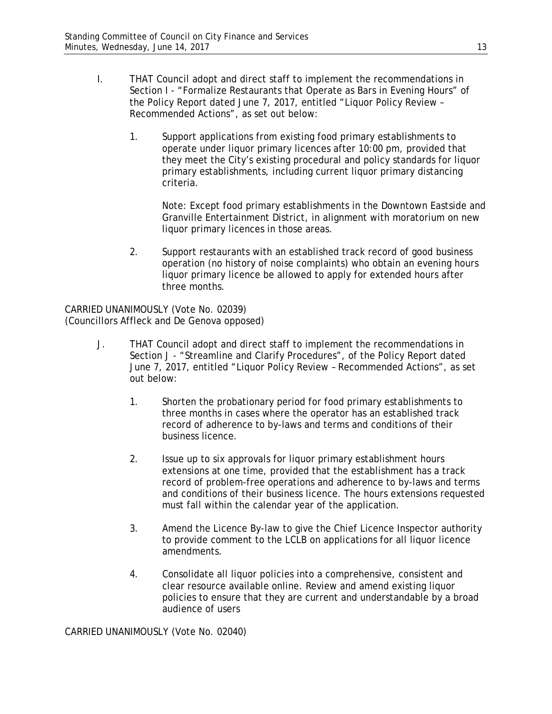- I. THAT Council adopt and direct staff to implement the recommendations in Section I - "Formalize Restaurants that Operate as Bars in Evening Hours" of the Policy Report dated June 7, 2017, entitled "Liquor Policy Review – Recommended Actions", as set out below:
	- 1. Support applications from existing food primary establishments to operate under liquor primary licences after 10:00 pm, provided that they meet the City's existing procedural and policy standards for liquor primary establishments, including current liquor primary distancing criteria.

Note: Except food primary establishments in the Downtown Eastside and Granville Entertainment District, in alignment with moratorium on new liquor primary licences in those areas.

2. Support restaurants with an established track record of good business operation (no history of noise complaints) who obtain an evening hours liquor primary licence be allowed to apply for extended hours after three months.

CARRIED UNANIMOUSLY (Vote No. 02039) (Councillors Affleck and De Genova opposed)

- J. THAT Council adopt and direct staff to implement the recommendations in Section J - "Streamline and Clarify Procedures", of the Policy Report dated June 7, 2017, entitled "Liquor Policy Review – Recommended Actions", as set out below:
	- 1. Shorten the probationary period for food primary establishments to three months in cases where the operator has an established track record of adherence to by-laws and terms and conditions of their business licence.
	- 2. Issue up to six approvals for liquor primary establishment hours extensions at one time, provided that the establishment has a track record of problem-free operations and adherence to by-laws and terms and conditions of their business licence. The hours extensions requested must fall within the calendar year of the application.
	- 3. Amend the Licence By-law to give the Chief Licence Inspector authority to provide comment to the LCLB on applications for all liquor licence amendments.
	- 4. Consolidate all liquor policies into a comprehensive, consistent and clear resource available online. Review and amend existing liquor policies to ensure that they are current and understandable by a broad audience of users

CARRIED UNANIMOUSLY (Vote No. 02040)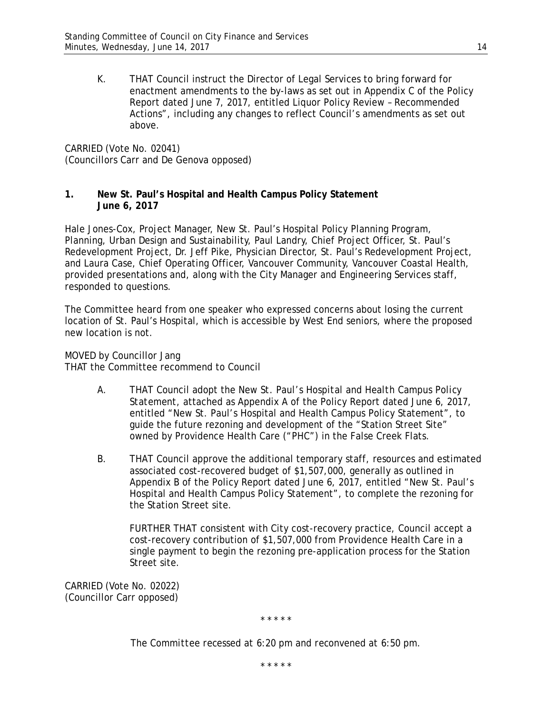K. THAT Council instruct the Director of Legal Services to bring forward for enactment amendments to the by-laws as set out in Appendix C of the Policy Report dated June 7, 2017, entitled Liquor Policy Review – Recommended Actions", including any changes to reflect Council's amendments as set out above.

CARRIED (Vote No. 02041) (Councillors Carr and De Genova opposed)

### **1. New St. Paul's Hospital and Health Campus Policy Statement June 6, 2017**

Hale Jones-Cox, Project Manager, New St. Paul's Hospital Policy Planning Program, Planning, Urban Design and Sustainability, Paul Landry, Chief Project Officer, St. Paul's Redevelopment Project, Dr. Jeff Pike, Physician Director, St. Paul's Redevelopment Project, and Laura Case, Chief Operating Officer, Vancouver Community, Vancouver Coastal Health, provided presentations and, along with the City Manager and Engineering Services staff, responded to questions.

The Committee heard from one speaker who expressed concerns about losing the current location of St. Paul's Hospital, which is accessible by West End seniors, where the proposed new location is not.

MOVED by Councillor Jang THAT the Committee recommend to Council

- A. THAT Council adopt the *New St. Paul's Hospital and Health Campus Policy Statement*, attached as Appendix A of the Policy Report dated June 6, 2017, entitled "New St. Paul's Hospital and Health Campus Policy Statement", to guide the future rezoning and development of the "Station Street Site" owned by Providence Health Care ("PHC") in the False Creek Flats.
- B. THAT Council approve the additional temporary staff, resources and estimated associated cost-recovered budget of \$1,507,000, generally as outlined in Appendix B of the Policy Report dated June 6, 2017, entitled "New St. Paul's Hospital and Health Campus Policy Statement", to complete the rezoning for the Station Street site.

FURTHER THAT consistent with City cost-recovery practice, Council accept a cost-recovery contribution of \$1,507,000 from Providence Health Care in a single payment to begin the rezoning pre-application process for the Station Street site.

CARRIED (Vote No. 02022) (Councillor Carr opposed)

\* \* \* \* \*

*The Committee recessed at 6:20 pm and reconvened at 6:50 pm.*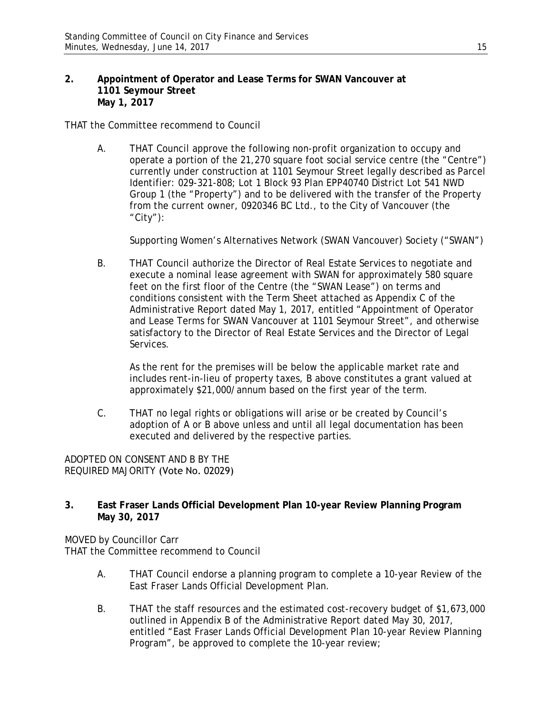#### **2. Appointment of Operator and Lease Terms for SWAN Vancouver at 1101 Seymour Street May 1, 2017**

THAT the Committee recommend to Council

A. THAT Council approve the following non-profit organization to occupy and operate a portion of the 21,270 square foot social service centre (the "Centre") currently under construction at 1101 Seymour Street legally described as Parcel Identifier: 029-321-808; Lot 1 Block 93 Plan EPP40740 District Lot 541 NWD Group 1 (the "Property") and to be delivered with the transfer of the Property from the current owner, 0920346 BC Ltd., to the City of Vancouver (the "City"):

Supporting Women's Alternatives Network (SWAN Vancouver) Society ("SWAN")

B. THAT Council authorize the Director of Real Estate Services to negotiate and execute a nominal lease agreement with SWAN for approximately 580 square feet on the first floor of the Centre (the "SWAN Lease") on terms and conditions consistent with the Term Sheet attached as Appendix C of the Administrative Report dated May 1, 2017, entitled "Appointment of Operator and Lease Terms for SWAN Vancouver at 1101 Seymour Street", and otherwise satisfactory to the Director of Real Estate Services and the Director of Legal Services.

As the rent for the premises will be below the applicable market rate and includes rent-in-lieu of property taxes, B above constitutes a grant valued at approximately \$21,000/annum based on the first year of the term.

C. THAT no legal rights or obligations will arise or be created by Council's adoption of A or B above unless and until all legal documentation has been executed and delivered by the respective parties.

ADOPTED ON CONSENT AND B BY THE REQUIRED MAJORITY (Vote No. 02029)

# **3. East Fraser Lands Official Development Plan 10-year Review Planning Program May 30, 2017**

MOVED by Councillor Carr THAT the Committee recommend to Council

- A. THAT Council endorse a planning program to complete a 10-year Review of the East Fraser Lands Official Development Plan.
- B. THAT the staff resources and the estimated cost-recovery budget of \$1,673,000 outlined in Appendix B of the Administrative Report dated May 30, 2017, entitled "East Fraser Lands Official Development Plan 10-year Review Planning Program", be approved to complete the 10-year review;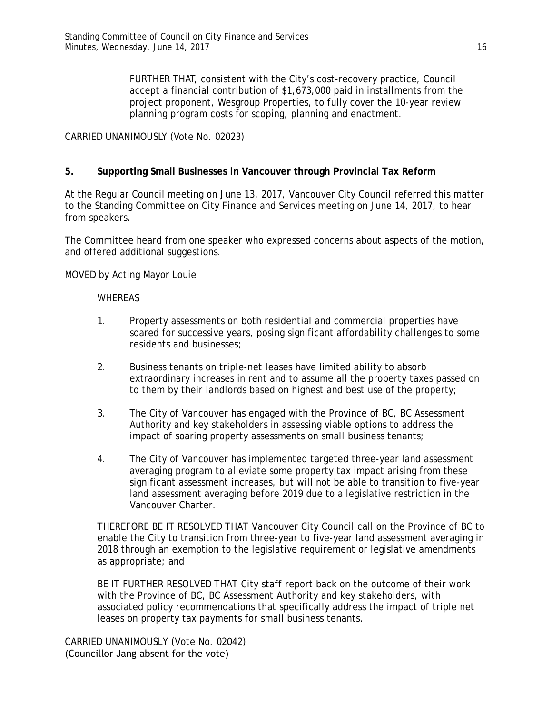FURTHER THAT, consistent with the City's cost-recovery practice, Council accept a financial contribution of \$1,673,000 paid in installments from the project proponent, Wesgroup Properties, to fully cover the 10-year review planning program costs for scoping, planning and enactment.

CARRIED UNANIMOUSLY (Vote No. 02023)

## **5. Supporting Small Businesses in Vancouver through Provincial Tax Reform**

At the Regular Council meeting on June 13, 2017, Vancouver City Council referred this matter to the Standing Committee on City Finance and Services meeting on June 14, 2017, to hear from speakers.

The Committee heard from one speaker who expressed concerns about aspects of the motion, and offered additional suggestions.

MOVED by Acting Mayor Louie

#### WHEREAS

- 1. Property assessments on both residential and commercial properties have soared for successive years, posing significant affordability challenges to some residents and businesses;
- 2. Business tenants on triple-net leases have limited ability to absorb extraordinary increases in rent and to assume all the property taxes passed on to them by their landlords based on highest and best use of the property;
- 3. The City of Vancouver has engaged with the Province of BC, BC Assessment Authority and key stakeholders in assessing viable options to address the impact of soaring property assessments on small business tenants;
- 4. The City of Vancouver has implemented targeted three-year land assessment averaging program to alleviate some property tax impact arising from these significant assessment increases, but will not be able to transition to five-year land assessment averaging before 2019 due to a legislative restriction in the Vancouver Charter.

THEREFORE BE IT RESOLVED THAT Vancouver City Council call on the Province of BC to enable the City to transition from three-year to five-year land assessment averaging in 2018 through an exemption to the legislative requirement or legislative amendments as appropriate; and

BE IT FURTHER RESOLVED THAT City staff report back on the outcome of their work with the Province of BC, BC Assessment Authority and key stakeholders, with associated policy recommendations that specifically address the impact of triple net leases on property tax payments for small business tenants.

CARRIED UNANIMOUSLY (Vote No. 02042) (Councillor Jang absent for the vote)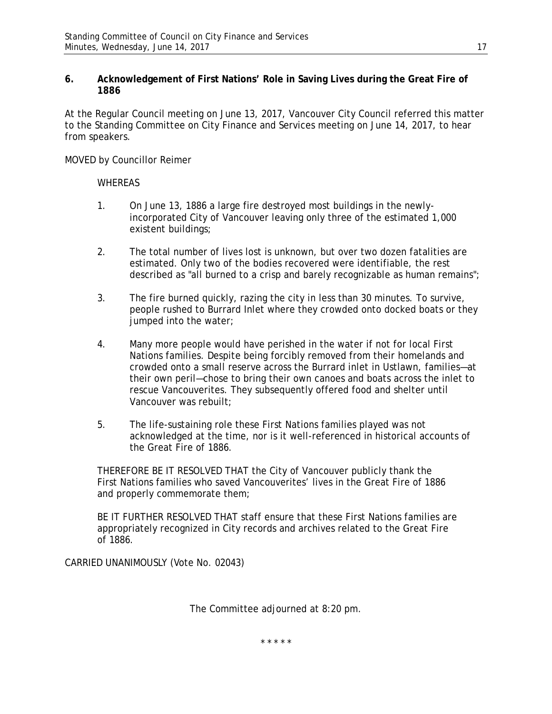# **6. Acknowledgement of First Nations' Role in Saving Lives during the Great Fire of 1886**

At the Regular Council meeting on June 13, 2017, Vancouver City Council referred this matter to the Standing Committee on City Finance and Services meeting on June 14, 2017, to hear from speakers.

MOVED by Councillor Reimer

# WHEREAS

- 1. On June 13, 1886 a large fire destroyed most buildings in the newlyincorporated City of Vancouver leaving only three of the estimated 1,000 existent buildings;
- 2. The total number of lives lost is unknown, but over two dozen fatalities are estimated. Only two of the bodies recovered were identifiable, the rest described as "all burned to a crisp and barely recognizable as human remains";
- 3. The fire burned quickly, razing the city in less than 30 minutes. To survive, people rushed to Burrard Inlet where they crowded onto docked boats or they jumped into the water;
- 4. Many more people would have perished in the water if not for local First Nations families. Despite being forcibly removed from their homelands and crowded onto a small reserve across the Burrard inlet in Ustlawn, families—at their own peril—chose to bring their own canoes and boats across the inlet to rescue Vancouverites. They subsequently offered food and shelter until Vancouver was rebuilt;
- 5. The life-sustaining role these First Nations families played was not acknowledged at the time, nor is it well-referenced in historical accounts of the Great Fire of 1886.

THEREFORE BE IT RESOLVED THAT the City of Vancouver publicly thank the First Nations families who saved Vancouverites' lives in the Great Fire of 1886 and properly commemorate them;

BE IT FURTHER RESOLVED THAT staff ensure that these First Nations families are appropriately recognized in City records and archives related to the Great Fire of 1886.

CARRIED UNANIMOUSLY (Vote No. 02043)

The Committee adjourned at 8:20 pm.

\* \* \* \* \*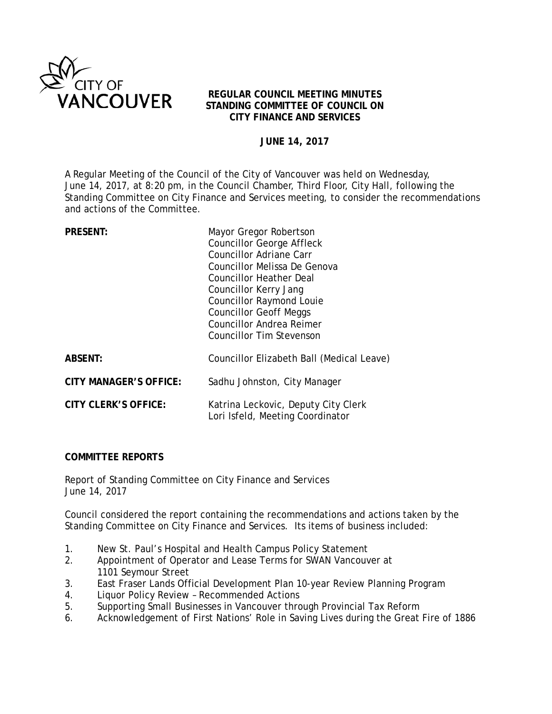

# **REGULAR COUNCIL MEETING MINUTES STANDING COMMITTEE OF COUNCIL ON CITY FINANCE AND SERVICES**

# **JUNE 14, 2017**

A Regular Meeting of the Council of the City of Vancouver was held on Wednesday, June 14, 2017, at 8:20 pm, in the Council Chamber, Third Floor, City Hall, following the Standing Committee on City Finance and Services meeting, to consider the recommendations and actions of the Committee.

| Mayor Gregor Robertson<br><b>Councillor George Affleck</b><br><b>Councillor Adriane Carr</b><br>Councillor Melissa De Genova<br>Councillor Heather Deal<br>Councillor Kerry Jang<br><b>Councillor Raymond Louie</b><br><b>Councillor Geoff Meggs</b><br><b>Councillor Andrea Reimer</b><br><b>Councillor Tim Stevenson</b> |
|----------------------------------------------------------------------------------------------------------------------------------------------------------------------------------------------------------------------------------------------------------------------------------------------------------------------------|
| Councillor Elizabeth Ball (Medical Leave)                                                                                                                                                                                                                                                                                  |
| Sadhu Johnston, City Manager                                                                                                                                                                                                                                                                                               |
| Katrina Leckovic, Deputy City Clerk<br>Lori Isfeld, Meeting Coordinator                                                                                                                                                                                                                                                    |
|                                                                                                                                                                                                                                                                                                                            |

# **COMMITTEE REPORTS**

Report of Standing Committee on City Finance and Services June 14, 2017

Council considered the report containing the recommendations and actions taken by the Standing Committee on City Finance and Services. Its items of business included:

- 1. New St. Paul's Hospital and Health Campus Policy Statement
- 2. Appointment of Operator and Lease Terms for SWAN Vancouver at 1101 Seymour Street
- 3. East Fraser Lands Official Development Plan 10-year Review Planning Program
- 4. Liquor Policy Review Recommended Actions
- 5. Supporting Small Businesses in Vancouver through Provincial Tax Reform
- 6. Acknowledgement of First Nations' Role in Saving Lives during the Great Fire of 1886